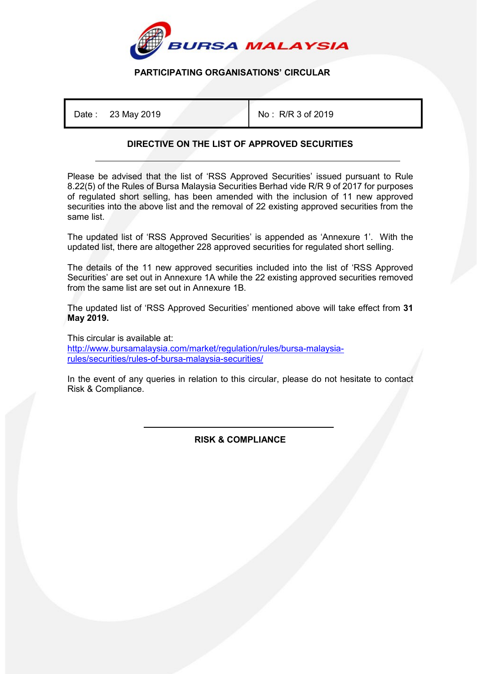

## **PARTICIPATING ORGANISATIONS' CIRCULAR**

Date: 23 May 2019 **No. 2019** No: R/R 3 of 2019

# **DIRECTIVE ON THE LIST OF APPROVED SECURITIES**

Please be advised that the list of 'RSS Approved Securities' issued pursuant to Rule 8.22(5) of the Rules of Bursa Malaysia Securities Berhad vide R/R 9 of 2017 for purposes of regulated short selling, has been amended with the inclusion of 11 new approved securities into the above list and the removal of 22 existing approved securities from the same list.

The updated list of 'RSS Approved Securities' is appended as 'Annexure 1'. With the updated list, there are altogether 228 approved securities for regulated short selling.

The details of the 11 new approved securities included into the list of 'RSS Approved Securities' are set out in Annexure 1A while the 22 existing approved securities removed from the same list are set out in Annexure 1B.

The updated list of 'RSS Approved Securities' mentioned above will take effect from **31 May 2019.**

This circular is available at: [http://www.bursamalaysia.com/market/regulation/rules/bursa-malaysia](http://www.bursamalaysia.com/market/regulation/rules/bursa-malaysia-rules/securities/rules-of-bursa-malaysia-securities/)[rules/securities/rules-of-bursa-malaysia-securities/](http://www.bursamalaysia.com/market/regulation/rules/bursa-malaysia-rules/securities/rules-of-bursa-malaysia-securities/)

In the event of any queries in relation to this circular, please do not hesitate to contact Risk & Compliance.

> İ **RISK & COMPLIANCE**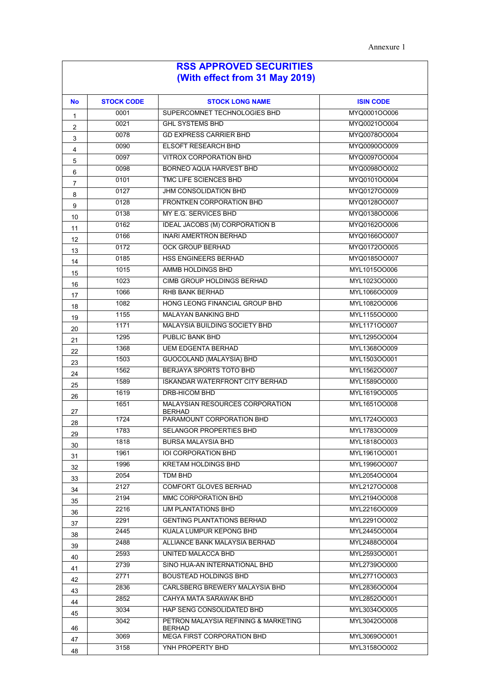| <b>No</b>               | <b>STOCK CODE</b> | <b>STOCK LONG NAME</b>                                | <b>ISIN CODE</b> |
|-------------------------|-------------------|-------------------------------------------------------|------------------|
| $\mathbf{1}$            | 0001              | SUPERCOMNET TECHNOLOGIES BHD                          | MYQ0001OO006     |
| $\overline{\mathbf{c}}$ | 0021              | <b>GHL SYSTEMS BHD</b>                                | MYQ0021OO004     |
| 3                       | 0078              | <b>GD EXPRESS CARRIER BHD</b>                         | MYQ0078OO004     |
| $\overline{4}$          | 0090              | <b>ELSOFT RESEARCH BHD</b>                            | MYQ0090OO009     |
| 5                       | 0097              | <b>VITROX CORPORATION BHD</b>                         | MYQ0097OO004     |
| 6                       | 0098              | BORNEO AQUA HARVEST BHD                               | MYQ0098OO002     |
| 7                       | 0101              | TMC LIFE SCIENCES BHD                                 | MYQ0101OO004     |
| 8                       | 0127              | JHM CONSOLIDATION BHD                                 | MYQ0127OO009     |
| 9                       | 0128              | <b>FRONTKEN CORPORATION BHD</b>                       | MYQ0128OO007     |
| 10                      | 0138              | MY E.G. SERVICES BHD                                  | MYQ0138OO006     |
| 11                      | 0162              | <b>IDEAL JACOBS (M) CORPORATION B</b>                 | MYQ0162OO006     |
| 12                      | 0166              | <b>INARI AMERTRON BERHAD</b>                          | MYQ0166OO007     |
| 13                      | 0172              | <b>OCK GROUP BERHAD</b>                               | MYQ0172OO005     |
| 14                      | 0185              | HSS ENGINEERS BERHAD                                  | MYQ0185OO007     |
| 15                      | 1015              | AMMB HOLDINGS BHD                                     | MYL1015OO006     |
| 16                      | 1023              | CIMB GROUP HOLDINGS BERHAD                            | MYL1023OO000     |
| 17                      | 1066              | <b>RHB BANK BERHAD</b>                                | MYL1066OO009     |
| 18                      | 1082              | HONG LEONG FINANCIAL GROUP BHD                        | MYL1082OO006     |
| 19                      | 1155              | <b>MALAYAN BANKING BHD</b>                            | MYL1155OO000     |
| 20                      | 1171              | MALAYSIA BUILDING SOCIETY BHD                         | MYL117100007     |
| 21                      | 1295              | <b>PUBLIC BANK BHD</b>                                | MYL1295OO004     |
| 22                      | 1368              | <b>UEM EDGENTA BERHAD</b>                             | MYL1368OO009     |
| 23                      | 1503              | GUOCOLAND (MALAYSIA) BHD                              | MYL1503OO001     |
| 24                      | 1562              | <b>BERJAYA SPORTS TOTO BHD</b>                        | MYL1562OO007     |
| 25                      | 1589              | <b>ISKANDAR WATERFRONT CITY BERHAD</b>                | MYL1589OO000     |
| 26                      | 1619              | <b>DRB-HICOM BHD</b>                                  | MYL1619OO005     |
| 27                      | 1651              | MALAYSIAN RESOURCES CORPORATION<br><b>BERHAD</b>      | MYL1651OO008     |
| 28                      | 1724              | PARAMOUNT CORPORATION BHD                             | MYL1724OO003     |
| 29                      | 1783              | <b>SELANGOR PROPERTIES BHD</b>                        | MYL1783OO009     |
| 30                      | 1818              | <b>BURSA MALAYSIA BHD</b>                             | MYL1818OO003     |
| 31                      | 1961              | <b>IOI CORPORATION BHD</b>                            | MYL1961OO001     |
| 32                      | 1996              | <b>KRETAM HOLDINGS BHD</b>                            | MYL1996OO007     |
| 33                      | 2054              | <b>TDM BHD</b>                                        | MYL2054OO004     |
| 34                      | 2127              | COMFORT GLOVES BERHAD                                 | MYL2127OO008     |
| 35                      | 2194              | MMC CORPORATION BHD                                   | MYL2194OO008     |
| 36                      | 2216              | IJM PLANTATIONS BHD                                   | MYL2216OO009     |
| 37                      | 2291              | <b>GENTING PLANTATIONS BERHAD</b>                     | MYL2291OO002     |
| 38                      | 2445              | KUALA LUMPUR KEPONG BHD                               | MYL2445OO004     |
| 39                      | 2488              | ALLIANCE BANK MALAYSIA BERHAD                         | MYL2488OO004     |
| 40                      | 2593              | UNITED MALACCA BHD                                    | MYL2593OO001     |
| 41                      | 2739              | SINO HUA-AN INTERNATIONAL BHD                         | MYL2739OO000     |
| 42                      | 2771              | <b>BOUSTEAD HOLDINGS BHD</b>                          | MYL2771OO003     |
| 43                      | 2836              | CARLSBERG BREWERY MALAYSIA BHD                        | MYL2836OO004     |
| 44                      | 2852              | CAHYA MATA SARAWAK BHD                                | MYL2852OO001     |
| 45                      | 3034              | HAP SENG CONSOLIDATED BHD                             | MYL3034OO005     |
| 46                      | 3042              | PETRON MALAYSIA REFINING & MARKETING<br><b>BERHAD</b> | MYL3042OO008     |
| 47                      | 3069              | <b>MEGA FIRST CORPORATION BHD</b>                     | MYL3069OO001     |
| 48                      | 3158              | YNH PROPERTY BHD                                      | MYL3158OO002     |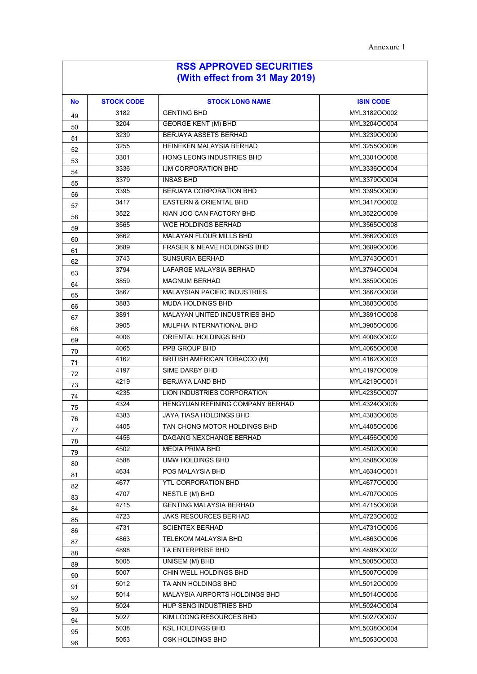| <b>No</b> | <b>STOCK CODE</b> | <b>STOCK LONG NAME</b>                                | <b>ISIN CODE</b>             |
|-----------|-------------------|-------------------------------------------------------|------------------------------|
| 49        | 3182              | <b>GENTING BHD</b>                                    | MYL3182OO002                 |
| 50        | 3204              | <b>GEORGE KENT (M) BHD</b>                            | MYL3204OO004                 |
| 51        | 3239              | <b>BERJAYA ASSETS BERHAD</b>                          | MYL3239OO000                 |
| 52        | 3255              | HEINEKEN MALAYSIA BERHAD                              | MYL3255OO006                 |
| 53        | 3301              | HONG LEONG INDUSTRIES BHD                             | MYL3301OO008                 |
| 54        | 3336              | IJM CORPORATION BHD                                   | MYL3336OO004                 |
| 55        | 3379              | <b>INSAS BHD</b>                                      | MYL3379OO004                 |
| 56        | 3395              | <b>BERJAYA CORPORATION BHD</b>                        | MYL3395OO000                 |
| 57        | 3417              | <b>EASTERN &amp; ORIENTAL BHD</b>                     | MYL3417OO002                 |
| 58        | 3522              | KIAN JOO CAN FACTORY BHD                              | MYL3522OO009                 |
| 59        | 3565              | <b>WCE HOLDINGS BERHAD</b>                            | MYL3565OO008                 |
| 60        | 3662              | <b>MALAYAN FLOUR MILLS BHD</b>                        | MYL3662OO003                 |
| 61        | 3689              | <b>FRASER &amp; NEAVE HOLDINGS BHD</b>                | MYL3689OO006                 |
| 62        | 3743              | <b>SUNSURIA BERHAD</b>                                | MYL3743OO001                 |
| 63        | 3794              | LAFARGE MALAYSIA BERHAD                               | MYL3794OO004                 |
| 64        | 3859              | <b>MAGNUM BERHAD</b>                                  | MYL3859OO005                 |
| 65        | 3867              | <b>MALAYSIAN PACIFIC INDUSTRIES</b>                   | MYL3867OO008                 |
| 66        | 3883              | <b>MUDA HOLDINGS BHD</b>                              | MYL3883OO005                 |
| 67        | 3891              | <b>MALAYAN UNITED INDUSTRIES BHD</b>                  | MYL3891OO008                 |
| 68        | 3905              | MULPHA INTERNATIONAL BHD                              | MYL3905OO006                 |
| 69        | 4006              | ORIENTAL HOLDINGS BHD                                 | MYL4006OO002                 |
| 70        | 4065              | PPB GROUP BHD                                         | MYL4065OO008                 |
| 71        | 4162              | BRITISH AMERICAN TOBACCO (M)                          | MYL4162OO003                 |
| 72        | 4197              | <b>SIME DARBY BHD</b>                                 | MYL4197OO009                 |
| 73        | 4219              | <b>BERJAYA LAND BHD</b>                               | MYL4219OO001                 |
| 74        | 4235              | LION INDUSTRIES CORPORATION                           | MYL4235OO007                 |
| 75        | 4324              | HENGYUAN REFINING COMPANY BERHAD                      | MYL4324OO009                 |
| 76        | 4383              | <b>JAYA TIASA HOLDINGS BHD</b>                        | MYL4383OO005                 |
| 77        | 4405              | TAN CHONG MOTOR HOLDINGS BHD                          | MYL4405OO006                 |
| 78        | 4456              | DAGANG NEXCHANGE BERHAD                               | MYL4456OO009                 |
| 79        | 4502              | <b>MEDIA PRIMA BHD</b>                                | MYL4502OO000                 |
| 80        | 4588              | <b>UMW HOLDINGS BHD</b>                               | MYL4588OO009                 |
| 81        | 4634              | POS MALAYSIA BHD                                      | MYL4634OO001                 |
| 82        | 4677              | <b>YTL CORPORATION BHD</b>                            | MYL467700000                 |
| 83        | 4707              | <b>NESTLE (M) BHD</b>                                 | MYL4707OO005                 |
| 84        | 4715              | <b>GENTING MALAYSIA BERHAD</b>                        | MYL4715OO008                 |
| 85        | 4723              | <b>JAKS RESOURCES BERHAD</b>                          | MYL4723OO002                 |
| 86        | 4731              | <b>SCIENTEX BERHAD</b><br><b>TELEKOM MALAYSIA BHD</b> | MYL4731OO005                 |
| 87        | 4863              |                                                       | MYL4863OO006                 |
| 88        | 4898              | TA ENTERPRISE BHD                                     | MYL4898OO002                 |
| 89        | 5005<br>5007      | <b>UNISEM (M) BHD</b><br>CHIN WELL HOLDINGS BHD       | MYL5005OO003<br>MYL5007OO009 |
| 90        | 5012              | TA ANN HOLDINGS BHD                                   | MYL5012OO009                 |
| 91        | 5014              | MALAYSIA AIRPORTS HOLDINGS BHD                        | MYL5014OO005                 |
| 92        | 5024              | HUP SENG INDUSTRIES BHD                               | MYL5024OO004                 |
| 93        | 5027              | KIM LOONG RESOURCES BHD                               | MYL5027OO007                 |
| 94        | 5038              | <b>KSL HOLDINGS BHD</b>                               | MYL5038OO004                 |
| 95        |                   |                                                       |                              |
| 96        | 5053              | OSK HOLDINGS BHD                                      | MYL5053OO003                 |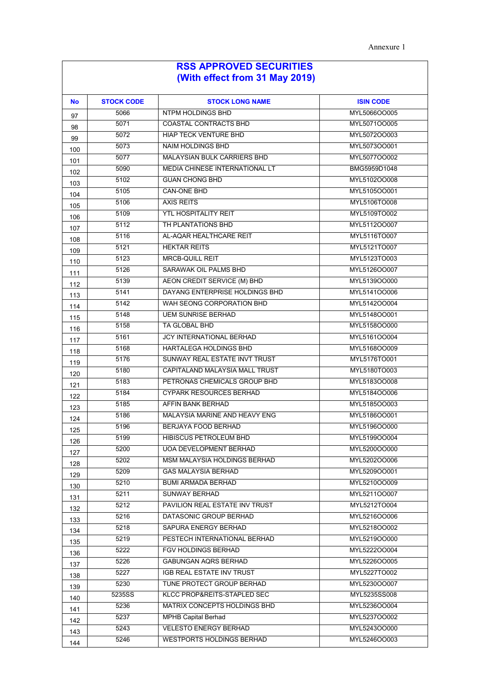| No  | <b>STOCK CODE</b> | <b>STOCK LONG NAME</b>             | <b>ISIN CODE</b> |
|-----|-------------------|------------------------------------|------------------|
| 97  | 5066              | NTPM HOLDINGS BHD                  | MYL5066OO005     |
| 98  | 5071              | <b>COASTAL CONTRACTS BHD</b>       | MYL5071OO005     |
| 99  | 5072              | <b>HIAP TECK VENTURE BHD</b>       | MYL5072OO003     |
| 100 | 5073              | <b>NAIM HOLDINGS BHD</b>           | MYL5073OO001     |
| 101 | 5077              | <b>MALAYSIAN BULK CARRIERS BHD</b> | MYL5077OO002     |
| 102 | 5090              | MEDIA CHINESE INTERNATIONAL LT     | BMG5959D1048     |
| 103 | 5102              | <b>GUAN CHONG BHD</b>              | MYL5102OO008     |
| 104 | 5105              | <b>CAN-ONE BHD</b>                 | MYL5105OO001     |
| 105 | 5106              | <b>AXIS REITS</b>                  | MYL5106TO008     |
| 106 | 5109              | <b>YTL HOSPITALITY REIT</b>        | MYL5109TO002     |
| 107 | 5112              | TH PLANTATIONS BHD                 | MYL5112OO007     |
| 108 | 5116              | AL-AQAR HEALTHCARE REIT            | MYL5116TO007     |
| 109 | 5121              | <b>HEKTAR REITS</b>                | MYL5121TO007     |
| 110 | 5123              | <b>MRCB-QUILL REIT</b>             | MYL5123TO003     |
| 111 | 5126              | SARAWAK OIL PALMS BHD              | MYL5126OO007     |
| 112 | 5139              | AEON CREDIT SERVICE (M) BHD        | MYL5139OO000     |
| 113 | 5141              | DAYANG ENTERPRISE HOLDINGS BHD     | MYL5141OO006     |
| 114 | 5142              | WAH SEONG CORPORATION BHD          | MYL5142OO004     |
| 115 | 5148              | <b>UEM SUNRISE BERHAD</b>          | MYL5148OO001     |
| 116 | 5158              | TA GLOBAL BHD                      | MYL5158OO000     |
| 117 | 5161              | <b>JCY INTERNATIONAL BERHAD</b>    | MYL5161OO004     |
| 118 | 5168              | <b>HARTALEGA HOLDINGS BHD</b>      | MYL5168OO009     |
| 119 | 5176              | SUNWAY REAL ESTATE INVT TRUST      | MYL5176TO001     |
| 120 | 5180              | CAPITALAND MALAYSIA MALL TRUST     | MYL5180TO003     |
| 121 | 5183              | PETRONAS CHEMICALS GROUP BHD       | MYL5183OO008     |
| 122 | 5184              | <b>CYPARK RESOURCES BERHAD</b>     | MYL5184OO006     |
| 123 | 5185              | AFFIN BANK BERHAD                  | MYL5185OO003     |
| 124 | 5186              | MALAYSIA MARINE AND HEAVY ENG      | MYL5186OO001     |
| 125 | 5196              | <b>BERJAYA FOOD BERHAD</b>         | MYL5196OO000     |
| 126 | 5199              | <b>HIBISCUS PETROLEUM BHD</b>      | MYL5199OO004     |
| 127 | 5200              | <b>UOA DEVELOPMENT BERHAD</b>      | MYL5200OO000     |
| 128 | 5202              | MSM MALAYSIA HOLDINGS BERHAD       | MYL5202OO006     |
| 129 | 5209              | <b>GAS MALAYSIA BERHAD</b>         | MYL5209OO001     |
| 130 | 5210              | <b>BUMI ARMADA BERHAD</b>          | MYL5210OO009     |
| 131 | 5211              | <b>SUNWAY BERHAD</b>               | MYL5211OO007     |
| 132 | 5212              | PAVILION REAL ESTATE INV TRUST     | MYL5212TO004     |
| 133 | 5216              | DATASONIC GROUP BERHAD             | MYL5216OO006     |
| 134 | 5218              | SAPURA ENERGY BERHAD               | MYL5218OO002     |
| 135 | 5219              | PESTECH INTERNATIONAL BERHAD       | MYL5219OO000     |
| 136 | 5222              | FGV HOLDINGS BERHAD                | MYL5222OO004     |
| 137 | 5226              | <b>GABUNGAN AQRS BERHAD</b>        | MYL5226OO005     |
| 138 | 5227              | IGB REAL ESTATE INV TRUST          | MYL5227TO002     |
| 139 | 5230              | TUNE PROTECT GROUP BERHAD          | MYL5230OO007     |
| 140 | 5235SS            | KLCC PROP&REITS-STAPLED SEC        | MYL5235SS008     |
| 141 | 5236              | MATRIX CONCEPTS HOLDINGS BHD       | MYL5236OO004     |
| 142 | 5237              | MPHB Capital Berhad                | MYL5237OO002     |
| 143 | 5243              | <b>VELESTO ENERGY BERHAD</b>       | MYL5243OO000     |
| 144 | 5246              | <b>WESTPORTS HOLDINGS BERHAD</b>   | MYL5246OO003     |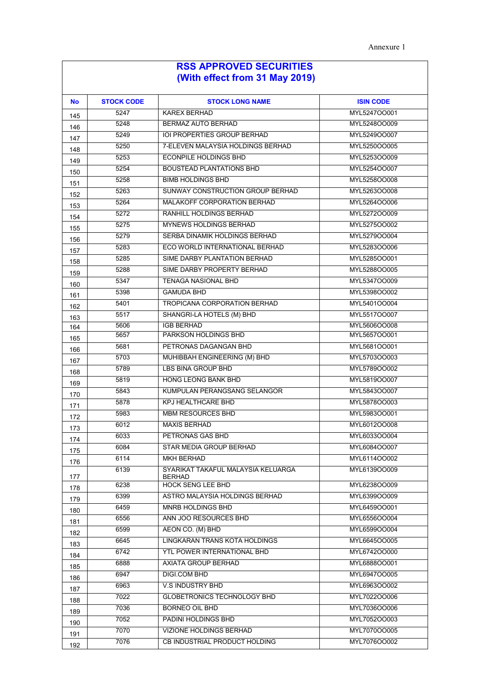| <b>No</b>  | <b>STOCK CODE</b> | <b>STOCK LONG NAME</b>                    | <b>ISIN CODE</b> |
|------------|-------------------|-------------------------------------------|------------------|
| 145        | 5247              | <b>KAREX BERHAD</b>                       | MYL5247OO001     |
| 146        | 5248              | BERMAZ AUTO BERHAD                        | MYL5248OO009     |
| 147        | 5249              | <b>IOI PROPERTIES GROUP BERHAD</b>        | MYL5249OO007     |
| 148        | 5250              | 7-ELEVEN MALAYSIA HOLDINGS BERHAD         | MYL5250OO005     |
| 149        | 5253              | <b>ECONPILE HOLDINGS BHD</b>              | MYL5253OO009     |
| 150        | 5254              | <b>BOUSTEAD PLANTATIONS BHD</b>           | MYL5254OO007     |
| 151        | 5258              | <b>BIMB HOLDINGS BHD</b>                  | MYL5258OO008     |
| 152        | 5263              | SUNWAY CONSTRUCTION GROUP BERHAD          | MYL5263OO008     |
| 153        | 5264              | MALAKOFF CORPORATION BERHAD               | MYL5264OO006     |
| 154        | 5272              | RANHILL HOLDINGS BERHAD                   | MYL5272OO009     |
| 155        | 5275              | <b>MYNEWS HOLDINGS BERHAD</b>             | MYL5275OO002     |
| 156        | 5279              | SERBA DINAMIK HOLDINGS BERHAD             | MYL5279OO004     |
| 157        | 5283              | ECO WORLD INTERNATIONAL BERHAD            | MYL5283OO006     |
| 158        | 5285              | SIME DARBY PLANTATION BERHAD              | MYL5285OO001     |
| 159        | 5288              | SIME DARBY PROPERTY BERHAD                | MYL5288OO005     |
| 160        | 5347              | <b>TENAGA NASIONAL BHD</b>                | MYL5347OO009     |
| 161        | 5398              | <b>GAMUDA BHD</b>                         | MYL5398OO002     |
| 162        | 5401              | <b>TROPICANA CORPORATION BERHAD</b>       | MYL5401OO004     |
| 163        | 5517              | SHANGRI-LA HOTELS (M) BHD                 | MYL5517OO007     |
| 164        | 5606              | <b>IGB BERHAD</b>                         | MYL5606OO008     |
| 165        | 5657              | PARKSON HOLDINGS BHD                      | MYL5657OO001     |
| 166        | 5681              | PETRONAS DAGANGAN BHD                     | MYL5681OO001     |
| 167        | 5703              | MUHIBBAH ENGINEERING (M) BHD              | MYL5703OO003     |
| 168        | 5789              | <b>LBS BINA GROUP BHD</b>                 | MYL5789OO002     |
| 169        | 5819              | <b>HONG LEONG BANK BHD</b>                | MYL5819OO007     |
| 170        | 5843              | KUMPULAN PERANGSANG SELANGOR              | MYL5843OO007     |
| 171        | 5878              | <b>KPJ HEALTHCARE BHD</b>                 | MYL5878OO003     |
| 172        | 5983              | <b>MBM RESOURCES BHD</b>                  | MYL5983OO001     |
| 173        | 6012              | <b>MAXIS BERHAD</b>                       | MYL6012OO008     |
| 174        | 6033              | PETRONAS GAS BHD                          | MYL6033OO004     |
| 175        | 6084              | STAR MEDIA GROUP BERHAD                   | MYL6084OO007     |
| 176        | 6114              | <b>MKH BERHAD</b>                         | MYL6114OO002     |
|            | 6139              | SYARIKAT TAKAFUL MALAYSIA KELUARGA        | MYL6139OO009     |
| 177        | 6238              | <b>BERHAD</b><br><b>HOCK SENG LEE BHD</b> | MYL6238OO009     |
| 178<br>179 | 6399              | ASTRO MALAYSIA HOLDINGS BERHAD            | MYL6399OO009     |
|            | 6459              | MNRB HOLDINGS BHD                         | MYL6459OO001     |
| 180<br>181 | 6556              | ANN JOO RESOURCES BHD                     | MYL6556OO004     |
| 182        | 6599              | AEON CO. (M) BHD                          | MYL6599OO004     |
|            | 6645              | LINGKARAN TRANS KOTA HOLDINGS             | MYL6645OO005     |
| 183        | 6742              | YTL POWER INTERNATIONAL BHD               | MYL6742OO000     |
| 184        | 6888              | AXIATA GROUP BERHAD                       | MYL6888OO001     |
| 185        | 6947              | DIGI.COM BHD                              | MYL6947OO005     |
| 186        | 6963              | <b>V.S INDUSTRY BHD</b>                   | MYL6963OO002     |
| 187        | 7022              | <b>GLOBETRONICS TECHNOLOGY BHD</b>        | MYL7022OO006     |
| 188        | 7036              | <b>BORNEO OIL BHD</b>                     | MYL7036OO006     |
| 189        | 7052              | PADINI HOLDINGS BHD                       | MYL7052OO003     |
| 190        | 7070              | VIZIONE HOLDINGS BERHAD                   | MYL7070OO005     |
| 191        | 7076              | CB INDUSTRIAL PRODUCT HOLDING             | MYL7076OO002     |
| 192        |                   |                                           |                  |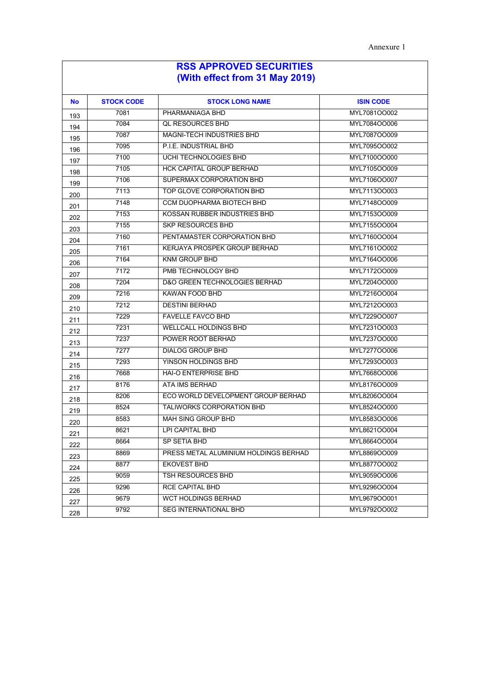| <b>No</b> | <b>STOCK CODE</b> | <b>STOCK LONG NAME</b>                   | <b>ISIN CODE</b> |
|-----------|-------------------|------------------------------------------|------------------|
| 193       | 7081              | PHARMANIAGA BHD                          | MYL7081OO002     |
| 194       | 7084              | <b>QL RESOURCES BHD</b>                  | MYL7084OO006     |
| 195       | 7087              | <b>MAGNI-TECH INDUSTRIES BHD</b>         | MYL7087OO009     |
| 196       | 7095              | P.I.E. INDUSTRIAL BHD                    | MYL7095OO002     |
| 197       | 7100              | UCHI TECHNOLOGIES BHD                    | MYL7100OO000     |
| 198       | 7105              | <b>HCK CAPITAL GROUP BERHAD</b>          | MYL7105OO009     |
| 199       | 7106              | SUPERMAX CORPORATION BHD                 | MYL7106OO007     |
| 200       | 7113              | TOP GLOVE CORPORATION BHD                | MYL7113OO003     |
| 201       | 7148              | <b>CCM DUOPHARMA BIOTECH BHD</b>         | MYL7148OO009     |
| 202       | 7153              | KOSSAN RUBBER INDUSTRIES BHD             | MYL7153OO009     |
| 203       | 7155              | <b>SKP RESOURCES BHD</b>                 | MYL7155OO004     |
| 204       | 7160              | PENTAMASTER CORPORATION BHD              | MYL7160OO004     |
| 205       | 7161              | KERJAYA PROSPEK GROUP BERHAD             | MYL7161OO002     |
| 206       | 7164              | <b>KNM GROUP BHD</b>                     | MYL7164OO006     |
| 207       | 7172              | PMB TECHNOLOGY BHD                       | MYL7172OO009     |
| 208       | 7204              | <b>D&amp;O GREEN TECHNOLOGIES BERHAD</b> | MYL7204OO000     |
| 209       | 7216              | <b>KAWAN FOOD BHD</b>                    | MYL7216OO004     |
| 210       | 7212              | <b>DESTINI BERHAD</b>                    | MYL7212OO003     |
| 211       | 7229              | <b>FAVELLE FAVCO BHD</b>                 | MYL7229OO007     |
| 212       | 7231              | <b>WELLCALL HOLDINGS BHD</b>             | MYL7231OO003     |
| 213       | 7237              | POWER ROOT BERHAD                        | MYL7237OO000     |
| 214       | 7277              | <b>DIALOG GROUP BHD</b>                  | MYL727700006     |
| 215       | 7293              | YINSON HOLDINGS BHD                      | MYL7293OO003     |
| 216       | 7668              | <b>HAI-O ENTERPRISE BHD</b>              | MYL7668OO006     |
| 217       | 8176              | ATA IMS BERHAD                           | MYL8176OO009     |
| 218       | 8206              | ECO WORLD DEVELOPMENT GROUP BERHAD       | MYL8206OO004     |
| 219       | 8524              | <b>TALIWORKS CORPORATION BHD</b>         | MYL8524OO000     |
| 220       | 8583              | <b>MAH SING GROUP BHD</b>                | MYL8583OO006     |
| 221       | 8621              | <b>I PI CAPITAL BHD</b>                  | MYL8621OO004     |
| 222       | 8664              | SP SETIA BHD                             | MYL8664OO004     |
| 223       | 8869              | PRESS METAL ALUMINIUM HOLDINGS BERHAD    | MYL8869OO009     |
| 224       | 8877              | <b>EKOVEST BHD</b>                       | MYL8877OO002     |
| 225       | 9059              | TSH RESOURCES BHD                        | MYL9059OO006     |
| 226       | 9296              | <b>RCE CAPITAL BHD</b>                   | MYL9296OO004     |
| 227       | 9679              | <b>WCT HOLDINGS BERHAD</b>               | MYL9679OO001     |
| 228       | 9792              | <b>SEG INTERNATIONAL BHD</b>             | MYL9792OO002     |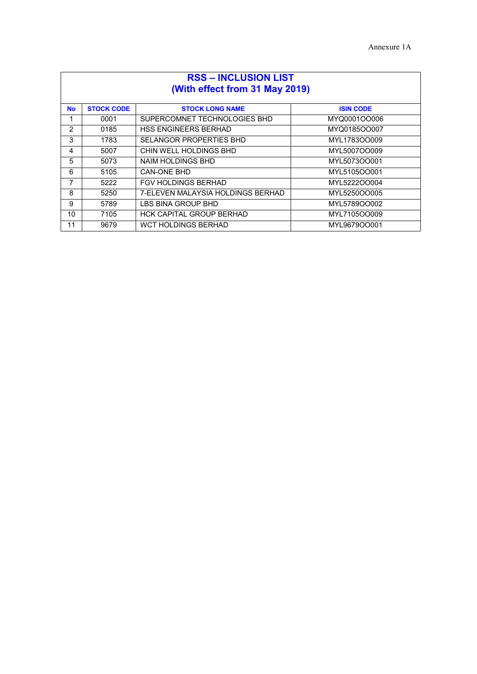| <b>RSS - INCLUSION LIST</b><br>(With effect from 31 May 2019) |                   |                                   |                  |
|---------------------------------------------------------------|-------------------|-----------------------------------|------------------|
| <b>No</b>                                                     | <b>STOCK CODE</b> | <b>STOCK LONG NAME</b>            | <b>ISIN CODE</b> |
| 1                                                             | 0001              | SUPERCOMNET TECHNOLOGIES BHD      | MYQ0001OO006     |
| 2                                                             | 0185              | <b>HSS ENGINEERS BERHAD</b>       | MYQ0185OO007     |
| 3                                                             | 1783              | SELANGOR PROPERTIES BHD           | MYL1783OO009     |
| 4                                                             | 5007              | CHIN WELL HOLDINGS BHD            | MYL5007OO009     |
| 5                                                             | 5073              | NAIM HOLDINGS BHD                 | MYL5073OO001     |
| 6                                                             | 5105              | CAN-ONE BHD                       | MYL5105OO001     |
| 7                                                             | 5222              | <b>FGV HOLDINGS BERHAD</b>        | MYL5222OO004     |
| 8                                                             | 5250              | 7-ELEVEN MALAYSIA HOLDINGS BERHAD | MYL5250OO005     |
| 9                                                             | 5789              | LBS BINA GROUP BHD                | MYL5789OO002     |
| 10                                                            | 7105              | <b>HCK CAPITAL GROUP BERHAD</b>   | MYL7105OO009     |
| 11                                                            | 9679              | <b>WCT HOLDINGS BERHAD</b>        | MYL9679OO001     |